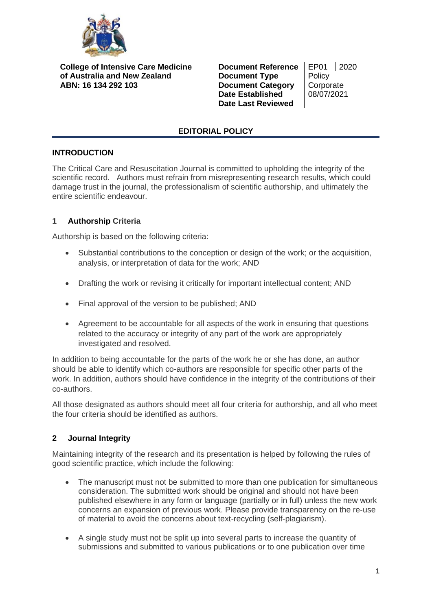

**College of Intensive Care Medicine of Australia and New Zealand ABN: 16 134 292 103**

**Document Reference** | EP01 | 2020 **Document Type** Policy **Document Category | Corporate Date Established** 08/07/2021 **Date Last Reviewed**

# **EDITORIAL POLICY**

## **INTRODUCTION**

The Critical Care and Resuscitation Journal is committed to upholding the integrity of the scientific record. Authors must refrain from misrepresenting research results, which could damage trust in the journal, the professionalism of scientific authorship, and ultimately the entire scientific endeavour.

## **1 Authorship Criteria**

Authorship is based on the following criteria:

- Substantial contributions to the conception or design of the work; or the acquisition, analysis, or interpretation of data for the work; AND
- Drafting the work or revising it critically for important intellectual content; AND
- Final approval of the version to be published; AND
- Agreement to be accountable for all aspects of the work in ensuring that questions related to the accuracy or integrity of any part of the work are appropriately investigated and resolved.

In addition to being accountable for the parts of the work he or she has done, an author should be able to identify which co-authors are responsible for specific other parts of the work. In addition, authors should have confidence in the integrity of the contributions of their co-authors.

All those designated as authors should meet all four criteria for authorship, and all who meet the four criteria should be identified as authors.

## **2 Journal Integrity**

Maintaining integrity of the research and its presentation is helped by following the rules of good scientific practice, which include the following:

- The manuscript must not be submitted to more than one publication for simultaneous consideration. The submitted work should be original and should not have been published elsewhere in any form or language (partially or in full) unless the new work concerns an expansion of previous work. Please provide transparency on the re-use of material to avoid the concerns about text-recycling (self-plagiarism).
- A single study must not be split up into several parts to increase the quantity of submissions and submitted to various publications or to one publication over time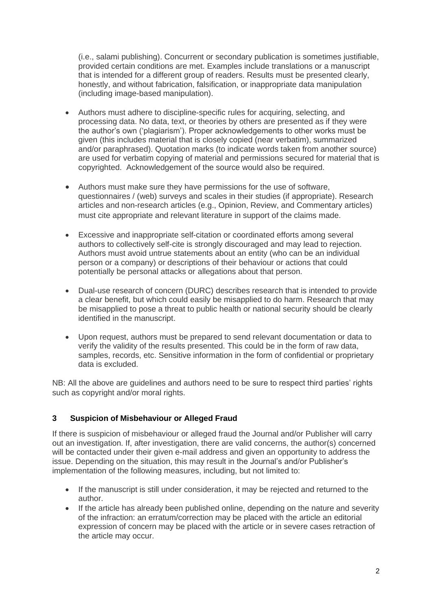(i.e., salami publishing). Concurrent or secondary publication is sometimes justifiable, provided certain conditions are met. Examples include translations or a manuscript that is intended for a different group of readers. Results must be presented clearly, honestly, and without fabrication, falsification, or inappropriate data manipulation (including image-based manipulation).

- Authors must adhere to discipline-specific rules for acquiring, selecting, and processing data. No data, text, or theories by others are presented as if they were the author's own ('plagiarism'). Proper acknowledgements to other works must be given (this includes material that is closely copied (near verbatim), summarized and/or paraphrased). Quotation marks (to indicate words taken from another source) are used for verbatim copying of material and permissions secured for material that is copyrighted. Acknowledgement of the source would also be required.
- Authors must make sure they have permissions for the use of software, questionnaires / (web) surveys and scales in their studies (if appropriate). Research articles and non-research articles (e.g., Opinion, Review, and Commentary articles) must cite appropriate and relevant literature in support of the claims made.
- Excessive and inappropriate self-citation or coordinated efforts among several authors to collectively self-cite is strongly discouraged and may lead to rejection. Authors must avoid untrue statements about an entity (who can be an individual person or a company) or descriptions of their behaviour or actions that could potentially be personal attacks or allegations about that person.
- Dual-use research of concern (DURC) describes research that is intended to provide a clear benefit, but which could easily be misapplied to do harm. Research that may be misapplied to pose a threat to public health or national security should be clearly identified in the manuscript.
- Upon request, authors must be prepared to send relevant documentation or data to verify the validity of the results presented. This could be in the form of raw data, samples, records, etc. Sensitive information in the form of confidential or proprietary data is excluded.

NB: All the above are guidelines and authors need to be sure to respect third parties' rights such as copyright and/or moral rights.

## **3 Suspicion of Misbehaviour or Alleged Fraud**

If there is suspicion of misbehaviour or alleged fraud the Journal and/or Publisher will carry out an investigation. If, after investigation, there are valid concerns, the author(s) concerned will be contacted under their given e-mail address and given an opportunity to address the issue. Depending on the situation, this may result in the Journal's and/or Publisher's implementation of the following measures, including, but not limited to:

- If the manuscript is still under consideration, it may be rejected and returned to the author.
- If the article has already been published online, depending on the nature and severity of the infraction: an erratum/correction may be placed with the article an editorial expression of concern may be placed with the article or in severe cases retraction of the article may occur.